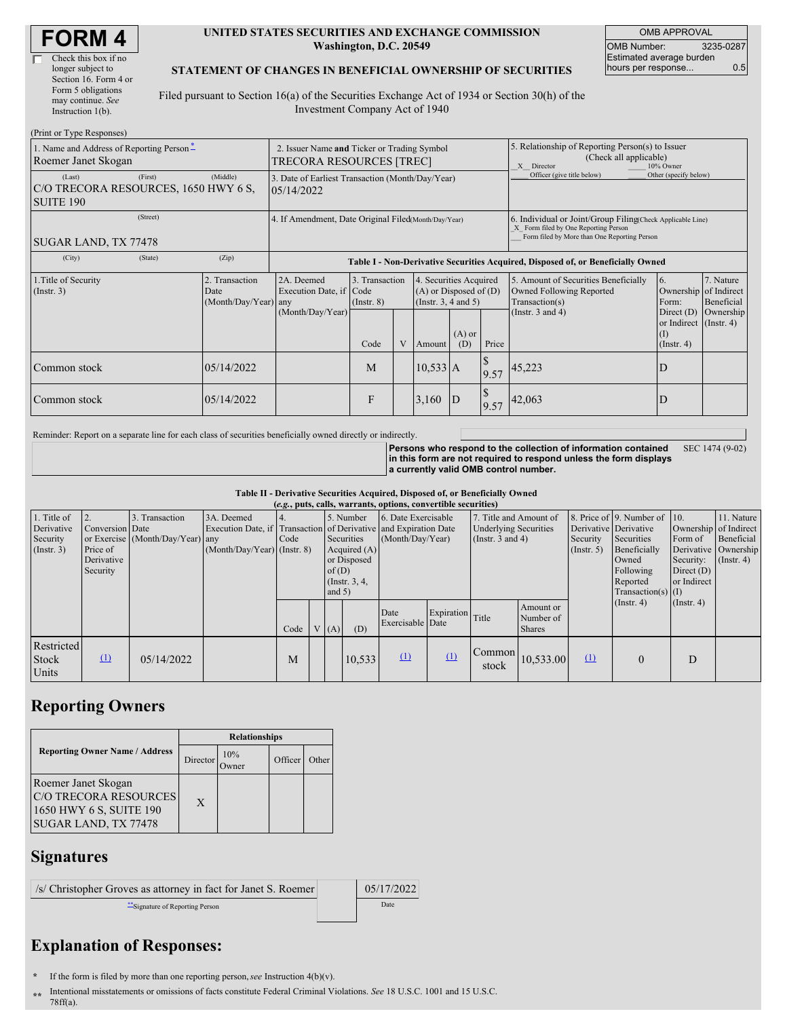| <b>FORM4</b> |
|--------------|
|--------------|

#### **UNITED STATES SECURITIES AND EXCHANGE COMMISSION Washington, D.C. 20549**

OMB APPROVAL OMB Number: 3235-0287 Estimated average burden hours per response... 0.5

#### **STATEMENT OF CHANGES IN BENEFICIAL OWNERSHIP OF SECURITIES**

Filed pursuant to Section 16(a) of the Securities Exchange Act of 1934 or Section 30(h) of the Investment Company Act of 1940

| (Print or Type Responses)                                          |          |                                                                         |                                                                                  |                                   |  |                                                                              |                 |                                                                                                                                                    |                                                                                    |                                                                               |                         |  |  |
|--------------------------------------------------------------------|----------|-------------------------------------------------------------------------|----------------------------------------------------------------------------------|-----------------------------------|--|------------------------------------------------------------------------------|-----------------|----------------------------------------------------------------------------------------------------------------------------------------------------|------------------------------------------------------------------------------------|-------------------------------------------------------------------------------|-------------------------|--|--|
| 1. Name and Address of Reporting Person-<br>Roemer Janet Skogan    |          | 2. Issuer Name and Ticker or Trading Symbol<br>TRECORA RESOURCES [TREC] |                                                                                  |                                   |  |                                                                              |                 | 5. Relationship of Reporting Person(s) to Issuer<br>(Check all applicable)<br>X Director<br>10% Owner                                              |                                                                                    |                                                                               |                         |  |  |
| (Last)<br>C/O TRECORA RESOURCES, 1650 HWY 6 S,<br><b>SUITE 190</b> | (Middle) | 3. Date of Earliest Transaction (Month/Day/Year)<br>05/14/2022          |                                                                                  |                                   |  |                                                                              |                 | Officer (give title below)                                                                                                                         | Other (specify below)                                                              |                                                                               |                         |  |  |
| SUGAR LAND, TX 77478                                               |          | 4. If Amendment, Date Original Filed(Month/Day/Year)                    |                                                                                  |                                   |  |                                                                              |                 | 6. Individual or Joint/Group Filing(Check Applicable Line)<br>X Form filed by One Reporting Person<br>Form filed by More than One Reporting Person |                                                                                    |                                                                               |                         |  |  |
| (City)                                                             | (State)  | (Zip)                                                                   | Table I - Non-Derivative Securities Acquired, Disposed of, or Beneficially Owned |                                   |  |                                                                              |                 |                                                                                                                                                    |                                                                                    |                                                                               |                         |  |  |
| 1. Title of Security<br>(Insert. 3)                                |          | 2. Transaction<br>Date<br>(Month/Day/Year) any                          | 2A. Deemed<br>Execution Date, if Code<br>(Month/Day/Year)                        | 3. Transaction<br>$($ Instr. $8)$ |  | 4. Securities Acquired<br>$(A)$ or Disposed of $(D)$<br>(Insert. 3, 4 and 5) |                 |                                                                                                                                                    | 5. Amount of Securities Beneficially<br>Owned Following Reported<br>Transaction(s) | 6.<br>Ownership of Indirect<br>Form:                                          | 7. Nature<br>Beneficial |  |  |
|                                                                    |          |                                                                         |                                                                                  | Code                              |  | Amount                                                                       | $(A)$ or<br>(D) | Price                                                                                                                                              | (Instr. $3$ and $4$ )                                                              | Direct (D) Ownership<br>or Indirect (Instr. 4)<br>$($ $\Gamma$<br>(Insert. 4) |                         |  |  |
| Common stock                                                       |          | 05/14/2022                                                              |                                                                                  | M                                 |  | $10,533$ A                                                                   |                 | 9.57                                                                                                                                               | 45,223                                                                             | D                                                                             |                         |  |  |
| Common stock                                                       |          | 05/14/2022                                                              |                                                                                  | F                                 |  | 3,160                                                                        | D               | 9.57                                                                                                                                               | 42,063                                                                             | D                                                                             |                         |  |  |

Reminder: Report on a separate line for each class of securities beneficially owned directly or indirectly.

**Persons who respond to the collection of information contained in this form are not required to respond unless the form displays a currently valid OMB control number.** SEC 1474 (9-02)

**Table II - Derivative Securities Acquired, Disposed of, or Beneficially Owned**

| (e.g., puts, calls, warrants, options, convertible securities) |                 |                                  |                               |      |                  |            |                     |                                                                  |                        |                              |                  |                              |                               |                      |                       |
|----------------------------------------------------------------|-----------------|----------------------------------|-------------------------------|------|------------------|------------|---------------------|------------------------------------------------------------------|------------------------|------------------------------|------------------|------------------------------|-------------------------------|----------------------|-----------------------|
| 1. Title of                                                    |                 | 3. Transaction                   | 3A. Deemed                    |      | 5. Number        |            | 6. Date Exercisable |                                                                  | 7. Title and Amount of |                              |                  | 8. Price of 9. Number of 10. |                               | 11. Nature           |                       |
| Derivative                                                     | Conversion Date |                                  |                               |      |                  |            |                     | Execution Date, if Transaction of Derivative and Expiration Date |                        | <b>Underlying Securities</b> |                  | Derivative Derivative        |                               |                      | Ownership of Indirect |
| Security                                                       |                 | or Exercise (Month/Day/Year) any |                               | Code |                  | Securities |                     | (Month/Day/Year)                                                 |                        | (Instr. $3$ and $4$ )        |                  | Security                     | Securities                    | Form of              | Beneficial            |
| (Insert. 3)                                                    | Price of        |                                  | $(Month/Day/Year)$ (Instr. 8) |      |                  |            | Acquired (A)        |                                                                  |                        |                              | $($ Instr. 5 $)$ | Beneficially                 |                               | Derivative Ownership |                       |
|                                                                | Derivative      |                                  |                               |      |                  |            | or Disposed         |                                                                  |                        |                              |                  | Owned                        | Security: $(\text{Instr. 4})$ |                      |                       |
|                                                                | Security        |                                  |                               |      |                  | of $(D)$   |                     |                                                                  |                        |                              |                  |                              | Following                     | Direct $(D)$         |                       |
|                                                                |                 |                                  |                               |      | (Insert. 3, 4, ) |            |                     |                                                                  |                        |                              |                  | Reported                     | or Indirect                   |                      |                       |
|                                                                |                 |                                  |                               |      |                  | and $5)$   |                     |                                                                  |                        |                              |                  |                              | Transaction(s) $(I)$          |                      |                       |
|                                                                |                 |                                  |                               |      |                  |            |                     |                                                                  |                        |                              | Amount or        |                              | $($ Instr. 4 $)$              | $($ Instr. 4 $)$     |                       |
|                                                                |                 |                                  |                               |      |                  |            |                     | Date<br>Exercisable Date                                         | Expiration             | Title                        | Number of        |                              |                               |                      |                       |
|                                                                |                 |                                  |                               | Code |                  | V(A)       | (D)                 |                                                                  |                        |                              | <b>Shares</b>    |                              |                               |                      |                       |
| Restricted                                                     |                 |                                  |                               |      |                  |            |                     |                                                                  |                        |                              |                  |                              |                               |                      |                       |
| Stock                                                          | $\Omega$        | 05/14/2022                       |                               | M    |                  |            | 10,533              | $\Omega$                                                         | (1)                    | Common                       | 10,533.00        | (1)                          | $\overline{0}$                | D                    |                       |
|                                                                |                 |                                  |                               |      |                  |            |                     |                                                                  |                        | stock                        |                  |                              |                               |                      |                       |
| Units                                                          |                 |                                  |                               |      |                  |            |                     |                                                                  |                        |                              |                  |                              |                               |                      |                       |

## **Reporting Owners**

|                                                                                                        | <b>Relationships</b> |                      |         |       |  |  |  |  |
|--------------------------------------------------------------------------------------------------------|----------------------|----------------------|---------|-------|--|--|--|--|
| <b>Reporting Owner Name / Address</b>                                                                  | Director             | 10%<br><b>)</b> wner | Officer | Other |  |  |  |  |
| Roemer Janet Skogan<br><b>C/O TRECORA RESOURCES</b><br>1650 HWY 6 S, SUITE 190<br>SUGAR LAND, TX 77478 | X                    |                      |         |       |  |  |  |  |

### **Signatures**

| /s/ Christopher Groves as attorney in fact for Janet S. Roemer | 05/17/2022  |
|----------------------------------------------------------------|-------------|
| Signature of Reporting Person                                  | <b>Date</b> |

# **Explanation of Responses:**

- **\*** If the form is filed by more than one reporting person,*see* Instruction 4(b)(v).
- **\*\*** Intentional misstatements or omissions of facts constitute Federal Criminal Violations. *See* 18 U.S.C. 1001 and 15 U.S.C. 78ff(a).